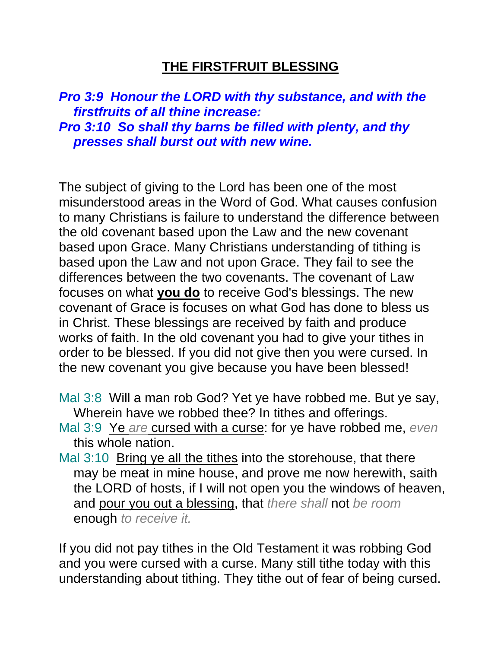## **THE FIRSTFRUIT BLESSING**

*Pro 3:9 Honour the LORD with thy substance, and with the firstfruits of all thine increase: Pro 3:10 So shall thy barns be filled with plenty, and thy presses shall burst out with new wine.* 

The subject of giving to the Lord has been one of the most misunderstood areas in the Word of God. What causes confusion to many Christians is failure to understand the difference between the old covenant based upon the Law and the new covenant based upon Grace. Many Christians understanding of tithing is based upon the Law and not upon Grace. They fail to see the differences between the two covenants. The covenant of Law focuses on what **you do** to receive God's blessings. The new covenant of Grace is focuses on what God has done to bless us in Christ. These blessings are received by faith and produce works of faith. In the old covenant you had to give your tithes in order to be blessed. If you did not give then you were cursed. In the new covenant you give because you have been blessed!

- Mal 3:8 Will a man rob God? Yet ye have robbed me. But ye say, Wherein have we robbed thee? In tithes and offerings.
- Mal 3:9 Ye *are* cursed with a curse: for ye have robbed me, *even* this whole nation.
- Mal 3:10 Bring ye all the tithes into the storehouse, that there may be meat in mine house, and prove me now herewith, saith the LORD of hosts, if I will not open you the windows of heaven, and pour you out a blessing, that *there shall* not *be room* enough *to receive it.*

If you did not pay tithes in the Old Testament it was robbing God and you were cursed with a curse. Many still tithe today with this understanding about tithing. They tithe out of fear of being cursed.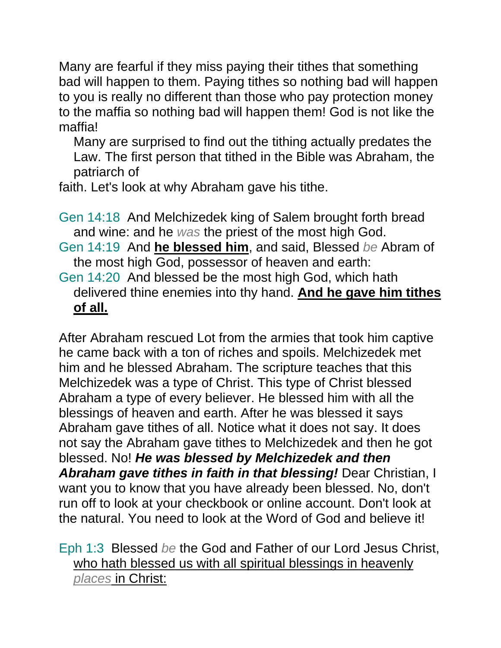Many are fearful if they miss paying their tithes that something bad will happen to them. Paying tithes so nothing bad will happen to you is really no different than those who pay protection money to the maffia so nothing bad will happen them! God is not like the maffia!

Many are surprised to find out the tithing actually predates the Law. The first person that tithed in the Bible was Abraham, the patriarch of

faith. Let's look at why Abraham gave his tithe.

Gen 14:18 And Melchizedek king of Salem brought forth bread and wine: and he *was* the priest of the most high God.

- Gen 14:19 And **he blessed him**, and said, Blessed *be* Abram of the most high God, possessor of heaven and earth:
- Gen 14:20 And blessed be the most high God, which hath delivered thine enemies into thy hand. **And he gave him tithes of all.**

After Abraham rescued Lot from the armies that took him captive he came back with a ton of riches and spoils. Melchizedek met him and he blessed Abraham. The scripture teaches that this Melchizedek was a type of Christ. This type of Christ blessed Abraham a type of every believer. He blessed him with all the blessings of heaven and earth. After he was blessed it says Abraham gave tithes of all. Notice what it does not say. It does not say the Abraham gave tithes to Melchizedek and then he got blessed. No! *He was blessed by Melchizedek and then Abraham gave tithes in faith in that blessing!* Dear Christian, I want you to know that you have already been blessed. No, don't run off to look at your checkbook or online account. Don't look at the natural. You need to look at the Word of God and believe it!

Eph 1:3 Blessed *be* the God and Father of our Lord Jesus Christ, who hath blessed us with all spiritual blessings in heavenly *places* in Christ: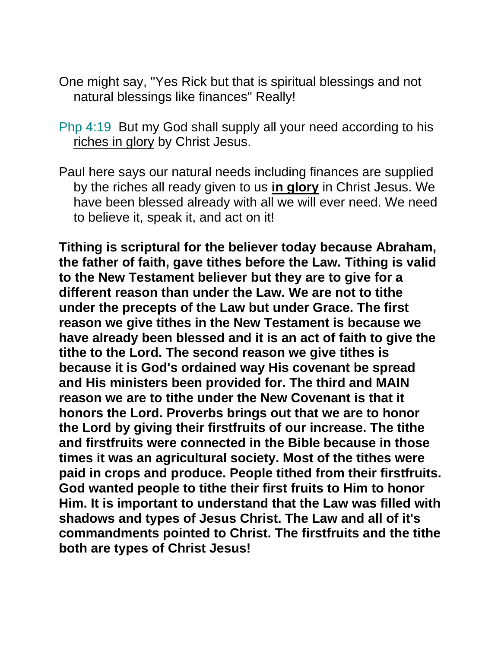- One might say, "Yes Rick but that is spiritual blessings and not natural blessings like finances" Really!
- Php 4:19 But my God shall supply all your need according to his riches in glory by Christ Jesus.
- Paul here says our natural needs including finances are supplied by the riches all ready given to us **in glory** in Christ Jesus. We have been blessed already with all we will ever need. We need to believe it, speak it, and act on it!

**Tithing is scriptural for the believer today because Abraham, the father of faith, gave tithes before the Law. Tithing is valid to the New Testament believer but they are to give for a different reason than under the Law. We are not to tithe under the precepts of the Law but under Grace. The first reason we give tithes in the New Testament is because we have already been blessed and it is an act of faith to give the tithe to the Lord. The second reason we give tithes is because it is God's ordained way His covenant be spread and His ministers been provided for. The third and MAIN reason we are to tithe under the New Covenant is that it honors the Lord. Proverbs brings out that we are to honor the Lord by giving their firstfruits of our increase. The tithe and firstfruits were connected in the Bible because in those times it was an agricultural society. Most of the tithes were paid in crops and produce. People tithed from their firstfruits. God wanted people to tithe their first fruits to Him to honor Him. It is important to understand that the Law was filled with shadows and types of Jesus Christ. The Law and all of it's commandments pointed to Christ. The firstfruits and the tithe both are types of Christ Jesus!**